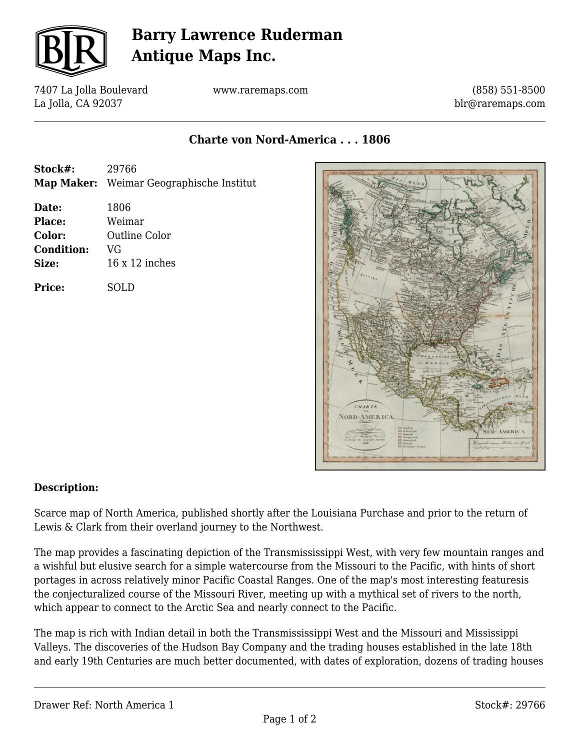

## **Barry Lawrence Ruderman Antique Maps Inc.**

7407 La Jolla Boulevard La Jolla, CA 92037

www.raremaps.com

(858) 551-8500 blr@raremaps.com

**Charte von Nord-America . . . 1806**

| Stock#:           | 29766<br>Map Maker: Weimar Geographische Institut |
|-------------------|---------------------------------------------------|
| Date:             | 1806                                              |
| Place:            | Weimar                                            |
| Color:            | <b>Outline Color</b>                              |
| <b>Condition:</b> | VG                                                |
| Size:             | $16 \times 12$ inches                             |
| Price:            | SOLD.                                             |
|                   |                                                   |



## **Description:**

Scarce map of North America, published shortly after the Louisiana Purchase and prior to the return of Lewis & Clark from their overland journey to the Northwest.

The map provides a fascinating depiction of the Transmississippi West, with very few mountain ranges and a wishful but elusive search for a simple watercourse from the Missouri to the Pacific, with hints of short portages in across relatively minor Pacific Coastal Ranges. One of the map's most interesting featuresis the conjecturalized course of the Missouri River, meeting up with a mythical set of rivers to the north, which appear to connect to the Arctic Sea and nearly connect to the Pacific.

The map is rich with Indian detail in both the Transmississippi West and the Missouri and Mississippi Valleys. The discoveries of the Hudson Bay Company and the trading houses established in the late 18th and early 19th Centuries are much better documented, with dates of exploration, dozens of trading houses